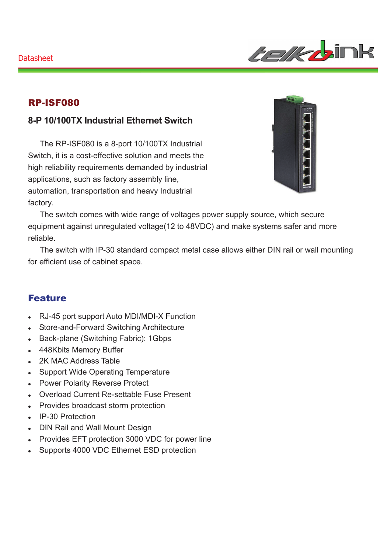

### RP-ISF080

## **8-P 10/100TX Industrial Ethernet Switch**

The RP-ISF080 is a 8-port 10/100TX Industrial Switch, it is a cost-effective solution and meets the high reliability requirements demanded by industrial applications, such as factory assembly line, automation, transportation and heavy Industrial factory.



The switch comes with wide range of voltages power supply source, which secure equipment against unregulated voltage(12 to 48VDC) and make systems safer and more reliable.

The switch with IP-30 standard compact metal case allows either DIN rail or wall mounting for efficient use of cabinet space.

#### Feature

- <sup>z</sup> RJ-45 port support Auto MDI/MDI-X Function
- Store-and-Forward Switching Architecture
- Back-plane (Switching Fabric): 1Gbps
- 448Kbits Memory Buffer
- 2K MAC Address Table
- Support Wide Operating Temperature
- Power Polarity Reverse Protect
- Overload Current Re-settable Fuse Present
- Provides broadcast storm protection
- IP-30 Protection
- DIN Rail and Wall Mount Design
- Provides EFT protection 3000 VDC for power line
- Supports 4000 VDC Ethernet ESD protection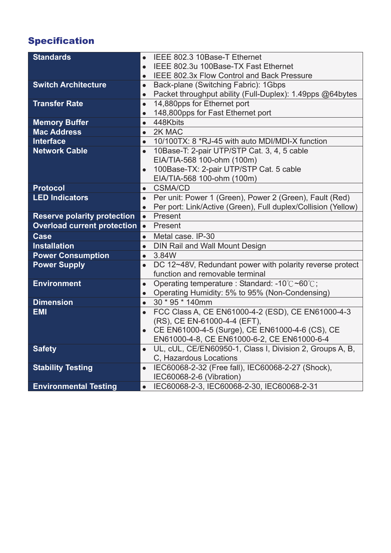# Specification

| <b>Standards</b>                   | IEEE 802.3 10Base-T Ethernet                                               |
|------------------------------------|----------------------------------------------------------------------------|
|                                    | IEEE 802.3u 100Base-TX Fast Ethernet<br>$\bullet$                          |
|                                    | IEEE 802.3x Flow Control and Back Pressure<br>$\bullet$                    |
| <b>Switch Architecture</b>         | Back-plane (Switching Fabric): 1Gbps<br>$\bullet$                          |
|                                    | Packet throughput ability (Full-Duplex): 1.49pps @64bytes<br>$\bullet$     |
| <b>Transfer Rate</b>               | 14,880pps for Ethernet port<br>$\bullet$                                   |
|                                    | 148,800pps for Fast Ethernet port<br>$\bullet$                             |
| <b>Memory Buffer</b>               | 448Kbits<br>$\bullet$                                                      |
| <b>Mac Address</b>                 | 2K MAC<br>$\bullet$                                                        |
| <b>Interface</b>                   | 10/100TX: 8 *RJ-45 with auto MDI/MDI-X function<br>$\bullet$               |
| <b>Network Cable</b>               | 10Base-T: 2-pair UTP/STP Cat. 3, 4, 5 cable                                |
|                                    | EIA/TIA-568 100-ohm (100m)                                                 |
|                                    | 100Base-TX: 2-pair UTP/STP Cat. 5 cable                                    |
|                                    | EIA/TIA-568 100-ohm (100m)                                                 |
| <b>Protocol</b>                    | <b>CSMA/CD</b><br>$\bullet$                                                |
| <b>LED Indicators</b>              | Per unit: Power 1 (Green), Power 2 (Green), Fault (Red)<br>$\bullet$       |
|                                    | Per port: Link/Active (Green), Full duplex/Collision (Yellow)<br>$\bullet$ |
| <b>Reserve polarity protection</b> | Present<br>$\bullet$                                                       |
|                                    |                                                                            |
| <b>Overload current protection</b> | Present<br>$\bullet$                                                       |
| <b>Case</b>                        | Metal case. IP-30<br>$\bullet$                                             |
| <b>Installation</b>                | DIN Rail and Wall Mount Design                                             |
| <b>Power Consumption</b>           | 3.84W<br>$\bullet$                                                         |
| <b>Power Supply</b>                | DC 12~48V, Redundant power with polarity reverse protect                   |
|                                    | function and removable terminal                                            |
| <b>Environment</b>                 | Operating temperature : Standard: -10°C~60°C;<br>$\bullet$                 |
|                                    | Operating Humidity: 5% to 95% (Non-Condensing)                             |
| <b>Dimension</b>                   | 30 * 95 * 140mm<br>$\bullet$                                               |
| <b>EMI</b>                         | FCC Class A, CE EN61000-4-2 (ESD), CE EN61000-4-3                          |
|                                    | (RS), CE EN-61000-4-4 (EFT),                                               |
|                                    | CE EN61000-4-5 (Surge), CE EN61000-4-6 (CS), CE                            |
|                                    | EN61000-4-8, CE EN61000-6-2, CE EN61000-6-4                                |
| <b>Safety</b>                      | UL, cUL, CE/EN60950-1, Class I, Division 2, Groups A, B,<br>$\bullet$      |
|                                    | C, Hazardous Locations                                                     |
| <b>Stability Testing</b>           | IEC60068-2-32 (Free fall), IEC60068-2-27 (Shock),                          |
| <b>Environmental Testing</b>       | IEC60068-2-6 (Vibration)<br>• IEC60068-2-3, IEC60068-2-30, IEC60068-2-31   |